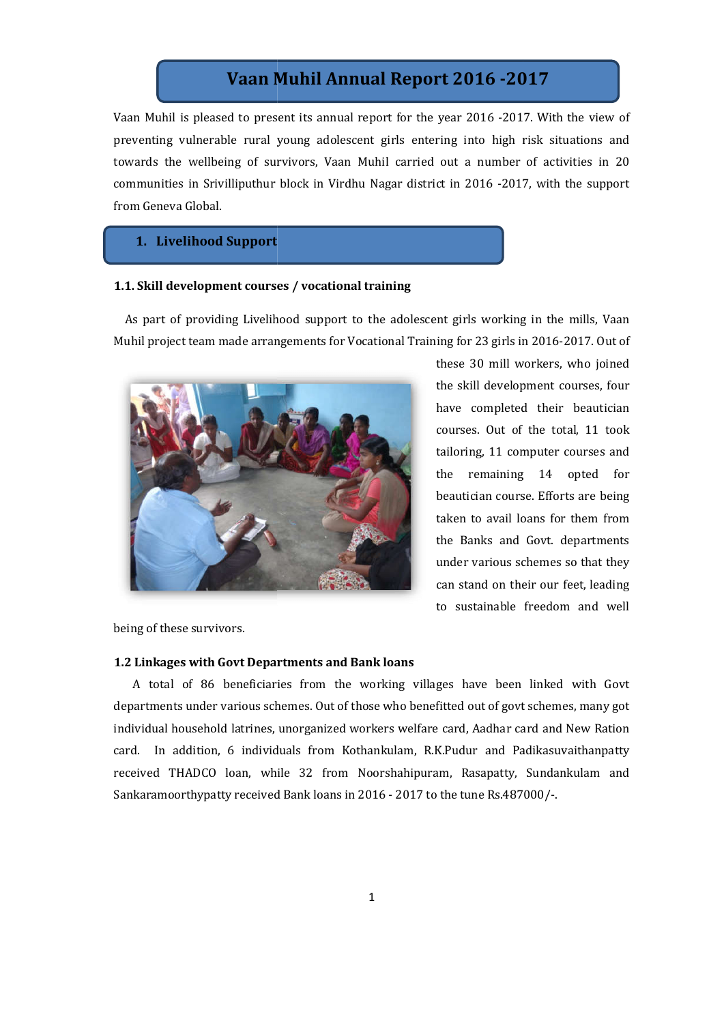# **Vaan Muhil Annual Report 201 2016 -201 2017**

Vaan Muhil is pleased to present its annual report for the year 2016 -2017. With the view of preventing vulnerable rural young adolescent girls entering into high risk situations and towards the wellbeing of survivors, Vaan Muhil carried out a number of activities in 20 towards the wellbeing of survivors, Vaan Muhil carried out a number of activities in 20<br>communities in Srivilliputhur block in Virdhu Nagar district in 2016 -2017, with the support from Geneva Global.

## **1. Livelihood Support**

#### **1.1. Skill development courses / vocational training**

 As part of providing Livelihood support to the adolescent girls working in the mills, Vaan As part of providing Livelihood support to the adolescent girls working in the mills, Vaan<br>Muhil project team made arrangements for Vocational Training for 23 girls in 2016-2017. Out of



these 30 mill workers, who joined the skill development courses, four have completed their beautician courses. Out of the total, 11 took tailoring, 11 computer courses and the remaining 14 opted for beautician course. Efforts are being taken to avail loans for them from the Banks and Govt. departments under various schemes so that they can stand on their our feet, leading to sustainable freedom and well rse. Efforts are being<br>loans for them from<br>d Govt. departments<br>schemes so that they

being of these survivors.

#### **1.2 Linkages with Govt Departments and Bank loans**

 A total of 86 beneficiaries from the working villages have been linked with Govt A total of 86 beneficiaries from the working villages have been linked with Govt departments under various schemes. Out of those who benefitted out of govt schemes, many got individual household latrines, unorganized workers welfare card, Aadhar car Aadhar card and New Ration card. In addition, 6 individuals from Kothankulam, R.K.Pudur and Padikasuvaithanpatty received THADCO loan, while 32 from Noorshahipuram, Rasapatty, Sundankulam and Sankaramoorthypatty received Bank loans in 2016 - 2017 to the tune Rs.487000/-. In addition, 6 individuals from Kothankulam, R.K.Pudur and Padikasuvaithanpatty<br>d THADCO loan, while 32 from Noorshahipuram, Rasapatty, Sundankulam and<br>amoorthypatty received Bank loans in 2016 - 2017 to the tune Rs.487000 reading to sustainable freedom and well<br>lors.<br>**Govt Departments and Bank loans**<br>beneficiaries from the working villages have been linked with Govt<br>various schemes. Out of those who benefitted out of govt schemes, many got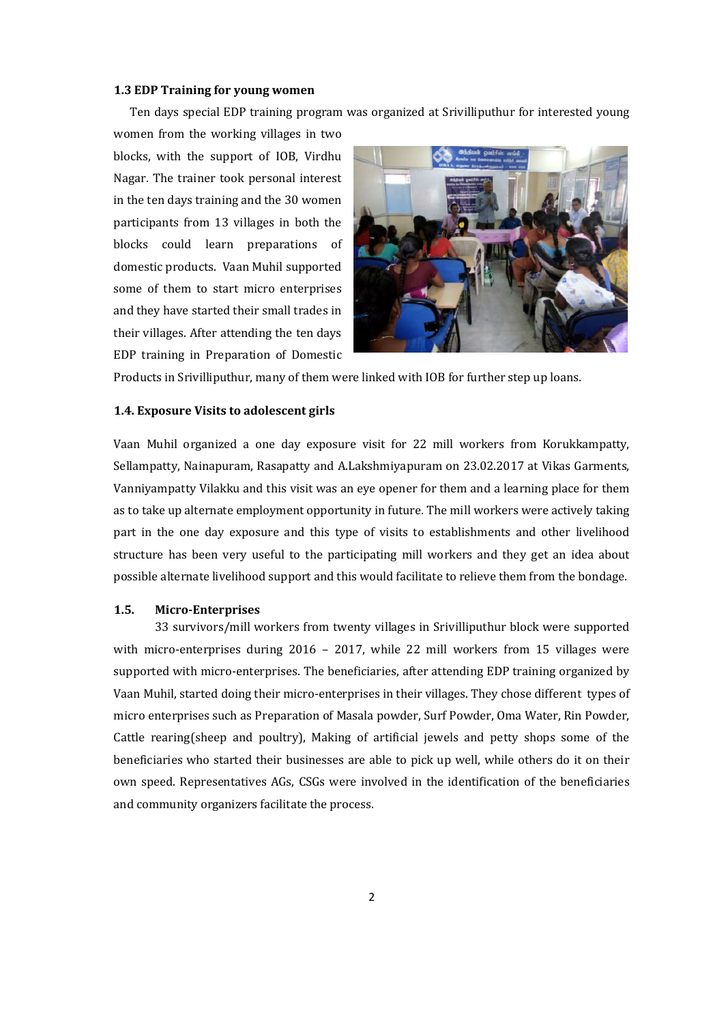#### **1.3 EDP Training for young women**

Ten days special EDP training program was organized at Srivilliputhur for interested young

women from the working villages in two blocks, with the support of IOB, Virdhu Nagar. The trainer took personal interest in the ten days training and the 30 women participants from 13 villages in both the blocks could learn preparations of domestic products. Vaan Muhil supported some of them to start micro enterprises and they have started their small trades in their villages. After attending the ten days EDP training in Preparation of Domestic



Products in Srivilliputhur, many of them were linked with IOB for further step up loans.

#### **1.4. Exposure Visits to adolescent girls**

Vaan Muhil organized a one day exposure visit for 22 mill workers from Korukkampatty, Sellampatty, Nainapuram, Rasapatty and A.Lakshmiyapuram on 23.02.2017 at Vikas Garments, Vanniyampatty Vilakku and this visit was an eye opener for them and a learning place for them as to take up alternate employment opportunity in future. The mill workers were actively taking part in the one day exposure and this type of visits to establishments and other livelihood structure has been very useful to the participating mill workers and they get an idea about possible alternate livelihood support and this would facilitate to relieve them from the bondage.

#### **1.5. Micro-Enterprises**

33 survivors/mill workers from twenty villages in Srivilliputhur block were supported with micro-enterprises during 2016 – 2017, while 22 mill workers from 15 villages were supported with micro-enterprises. The beneficiaries, after attending EDP training organized by Vaan Muhil, started doing their micro-enterprises in their villages. They chose different types of micro enterprises such as Preparation of Masala powder, Surf Powder, Oma Water, Rin Powder, Cattle rearing(sheep and poultry), Making of artificial jewels and petty shops some of the beneficiaries who started their businesses are able to pick up well, while others do it on their own speed. Representatives AGs, CSGs were involved in the identification of the beneficiaries and community organizers facilitate the process.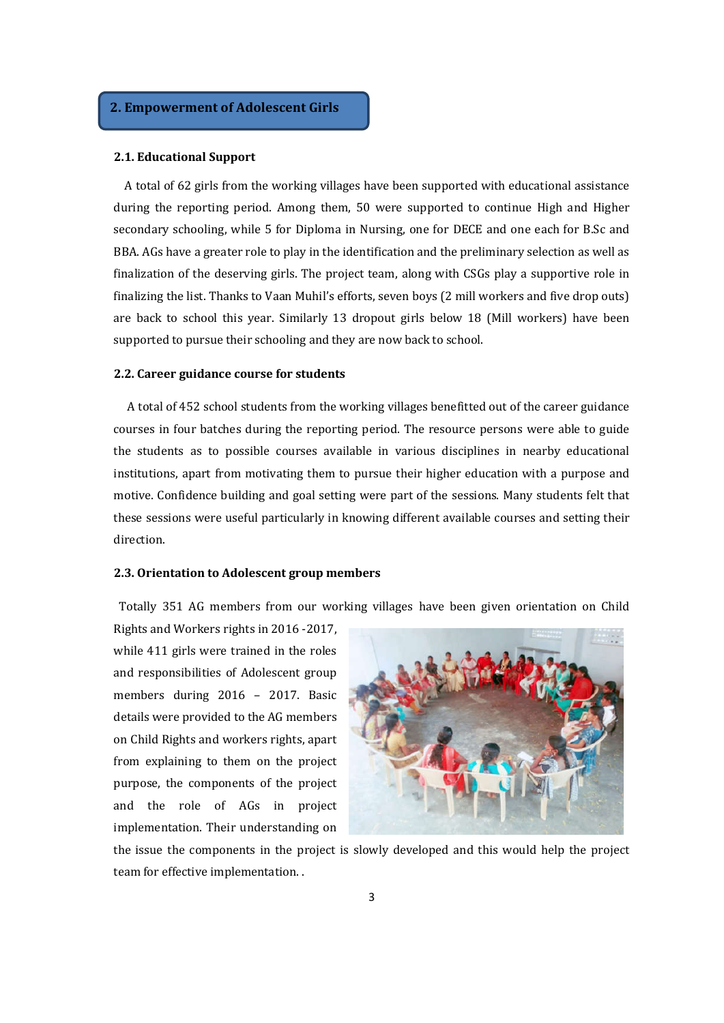# **2. Empowerment of Adolescent Girls**

#### **2.1. Educational Support**

 A total of 62 girls from the working villages have been supported with educational assistance during the reporting period. Among them, 50 were supported to continue High and Higher secondary schooling, while 5 for Diploma in Nursing, one for DECE and one each for B.Sc and BBA. AGs have a greater role to play in the identification and the preliminary selection as well as finalization of the deserving girls. The project team, along with CSGs play a supportive role in finalizing the list. Thanks to Vaan Muhil's efforts, seven boys (2 mill workers and five drop outs) are back to school this year. Similarly 13 dropout girls below 18 (Mill workers) have been supported to pursue their schooling and they are now back to school.

#### **2.2. Career guidance course for students**

 A total of 452 school students from the working villages benefitted out of the career guidance courses in four batches during the reporting period. The resource persons were able to guide the students as to possible courses available in various disciplines in nearby educational institutions, apart from motivating them to pursue their higher education with a purpose and motive. Confidence building and goal setting were part of the sessions. Many students felt that these sessions were useful particularly in knowing different available courses and setting their direction.

#### **2.3. Orientation to Adolescent group members**

Totally 351 AG members from our working villages have been given orientation on Child

Rights and Workers rights in 2016 -2017, while 411 girls were trained in the roles and responsibilities of Adolescent group members during 2016 – 2017. Basic details were provided to the AG members on Child Rights and workers rights, apart from explaining to them on the project purpose, the components of the project and the role of AGs in project implementation. Their understanding on



the issue the components in the project is slowly developed and this would help the project team for effective implementation. .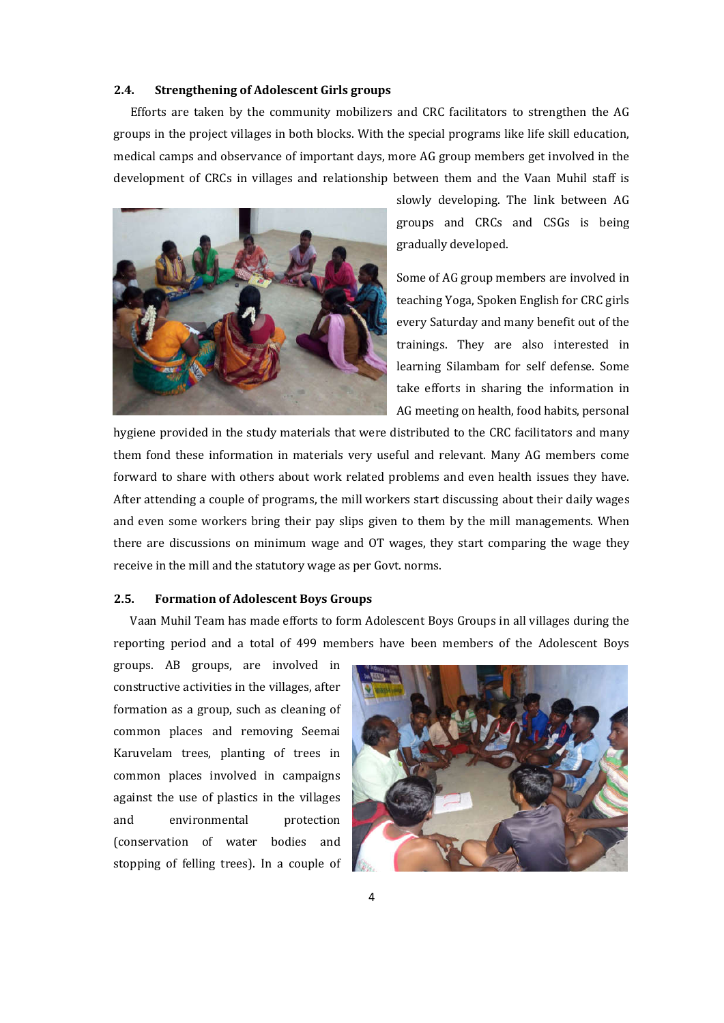# **2.4. Strengthening of Adolescent Girls groups**

 Efforts are taken by the community mobilizers and CRC facilitators to strengthen the AG groups in the project villages in both blocks. With the special programs like life skill education, medical camps and observance of important days, more AG group members get involved in the development of CRCs in villages and relationship between them and the Vaan Muhil staff is



slowly developing. The link between AG groups and CRCs and CSGs is being gradually developed.

Some of AG group members are involved in teaching Yoga, Spoken English for CRC girls every Saturday and many benefit out of the trainings. They are also interested in learning Silambam for self defense. Some take efforts in sharing the information in AG meeting on health, food habits, personal

hygiene provided in the study materials that were distributed to the CRC facilitators and many them fond these information in materials very useful and relevant. Many AG members come forward to share with others about work related problems and even health issues they have. After attending a couple of programs, the mill workers start discussing about their daily wages and even some workers bring their pay slips given to them by the mill managements. When there are discussions on minimum wage and OT wages, they start comparing the wage they receive in the mill and the statutory wage as per Govt. norms.

#### **2.5. Formation of Adolescent Boys Groups**

 Vaan Muhil Team has made efforts to form Adolescent Boys Groups in all villages during the reporting period and a total of 499 members have been members of the Adolescent Boys

groups. AB groups, are involved in constructive activities in the villages, after formation as a group, such as cleaning of common places and removing Seemai Karuvelam trees, planting of trees in common places involved in campaigns against the use of plastics in the villages and environmental protection (conservation of water bodies and stopping of felling trees). In a couple of

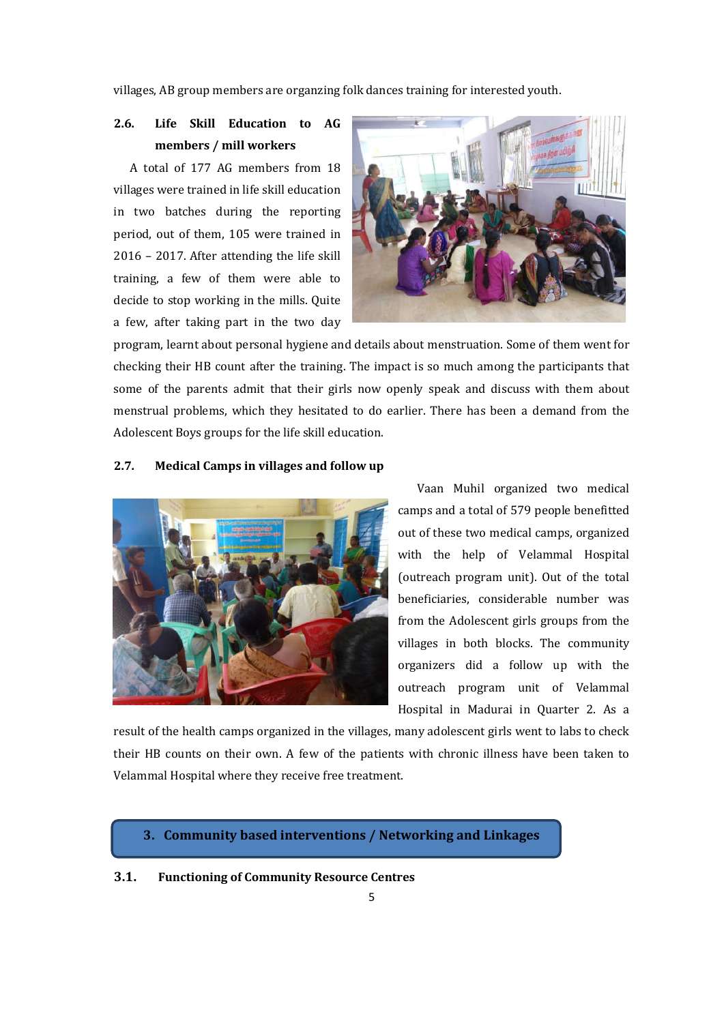villages, AB group members are organzing folk dances training for interested youth.

# **2.6. Life Skill Education to AG members / mill workers**

 A total of 177 AG members from 18 villages were trained in life skill education in two batches during the reporting period, out of them, 105 were trained in 2016 – 2017. After attending the life skill training, a few of them were able to decide to stop working in the mills. Quite a few, after taking part in the two day



program, learnt about personal hygiene and details about menstruation. Some of them went for checking their HB count after the training. The impact is so much among the participants that some of the parents admit that their girls now openly speak and discuss with them about menstrual problems, which they hesitated to do earlier. There has been a demand from the Adolescent Boys groups for the life skill education.

# **2.7. Medical Camps in villages and follow up**



 Vaan Muhil organized two medical camps and a total of 579 people benefitted out of these two medical camps, organized with the help of Velammal Hospital (outreach program unit). Out of the total beneficiaries, considerable number was from the Adolescent girls groups from the villages in both blocks. The community organizers did a follow up with the outreach program unit of Velammal Hospital in Madurai in Quarter 2. As a

result of the health camps organized in the villages, many adolescent girls went to labs to check their HB counts on their own. A few of the patients with chronic illness have been taken to Velammal Hospital where they receive free treatment.

**3. Community based interventions / Networking and Linkages** 

#### **3.1. Functioning of Community Resource Centres**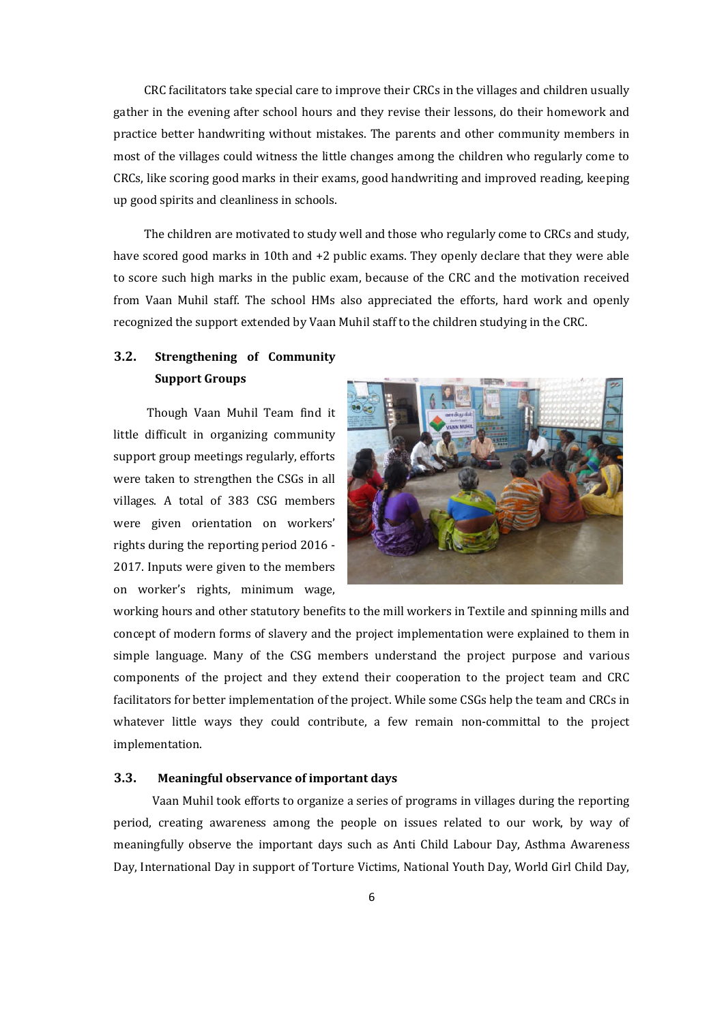CRC facilitators take special care to improve their CRCs in the villages and children usually gather in the evening after school hours and they revise their lessons, do their homework and practice better handwriting without mistakes. The parents and other community members in most of the villages could witness the little changes among the children who regularly come to CRCs, like scoring good marks in their exams, good handwriting and improved reading, keeping up good spirits and cleanliness in schools.

 The children are motivated to study well and those who regularly come to CRCs and study, have scored good marks in 10th and +2 public exams. They openly declare that they were able to score such high marks in the public exam, because of the CRC and the motivation received from Vaan Muhil staff. The school HMs also appreciated the efforts, hard work and openly recognized the support extended by Vaan Muhil staff to the children studying in the CRC.

# **3.2. Strengthening of Community Support Groups**

 Though Vaan Muhil Team find it little difficult in organizing community support group meetings regularly, efforts were taken to strengthen the CSGs in all villages. A total of 383 CSG members were given orientation on workers' rights during the reporting period 2016 - 2017. Inputs were given to the members on worker's rights, minimum wage,



working hours and other statutory benefits to the mill workers in Textile and spinning mills and concept of modern forms of slavery and the project implementation were explained to them in simple language. Many of the CSG members understand the project purpose and various components of the project and they extend their cooperation to the project team and CRC facilitators for better implementation of the project. While some CSGs help the team and CRCs in whatever little ways they could contribute, a few remain non-committal to the project implementation.

# **3.3. Meaningful observance of important days**

 Vaan Muhil took efforts to organize a series of programs in villages during the reporting period, creating awareness among the people on issues related to our work, by way of meaningfully observe the important days such as Anti Child Labour Day, Asthma Awareness Day, International Day in support of Torture Victims, National Youth Day, World Girl Child Day,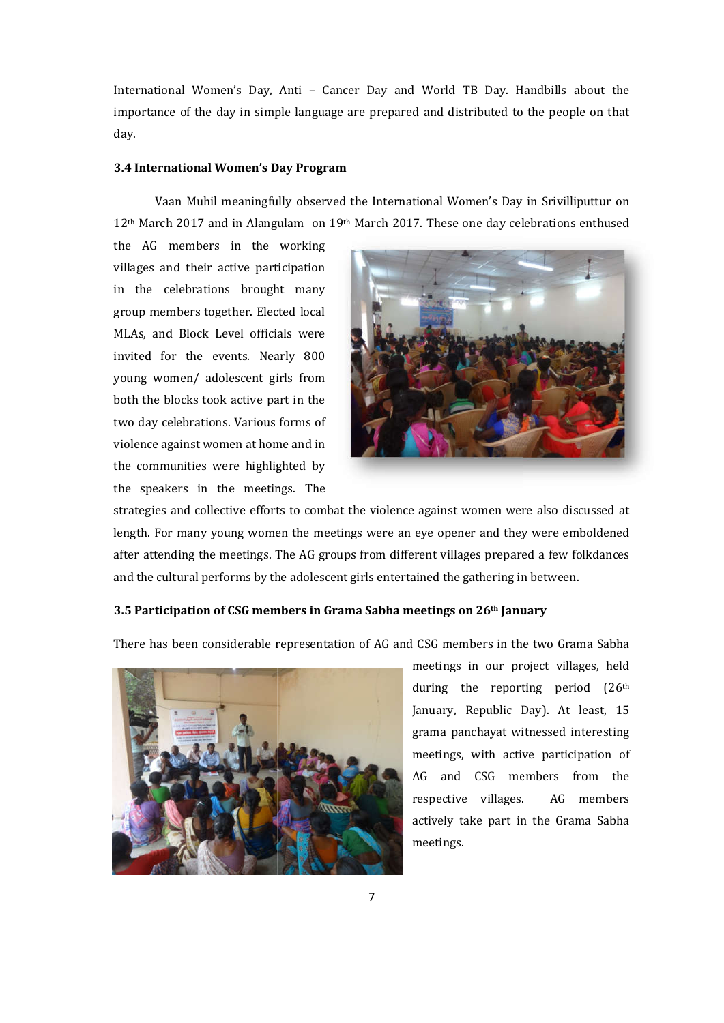International Women's Day, Anti – Cancer Day and World TB Day. Handbills about the importance of the day in simple language are prepared and distributed to the people on that day. en's Day, Anti – Cancer Day and World TB Day. Handbills about the<br>lay in simple language are prepared and distributed to the people on that<br>**Vomen's Day Program**<br>meaningfully observed the International Women's Day in Srivi

#### **3.4 International Women's Day Program International**

Vaan Muhil meaningfully observed the International Women's Day in Srivilliputtur on Vaan Muhil meaningfully observed the International Women's Day in Srivil<br>12<sup>th</sup> March 2017 and in Alangulam on 19<sup>th</sup> March 2017. These one day celebration

the AG members in the working villages and their active participation in the celebrations brought many group members together. Elected local MLAs, and Block Level officials were invited for the events. Nearly 800 young women/ adolescent girls from both the blocks took active part in the two day celebrations. Various forms of violence against women at home and in the communities were highlighted by the speakers in the meetings. The and their active participation<br>celebrations brought many<br>embers together. Elected local<br>nd Block Level officials were



length. For many young women the meetings were an eye opener and they were emboldened after attending the meetings. The AG groups from different villages prepared a few folkdances and the cultural performs by the adolescent girls entertained the gathering in between. strategies and collective efforts to combat the violence against women were also discussed at length. For many young women the meetings were an eye opener and they were emboldened after attending the meetings. The AG group

#### **3.5 Participation of CSG members in Grama Sabha meetings on 26<sup>th</sup> January**

There has been considerable representation of AG and CSG members in the two Grama Sabha



meetings in our project villages, held during the reporting period (26<sup>th</sup>) January, Republic Day). At least, 15 grama panchayat witnessed interesting meetings, with active participation of AG and CSG members f members from the respective villages. actively take part in the Grama Sabha actively meetings. AG members